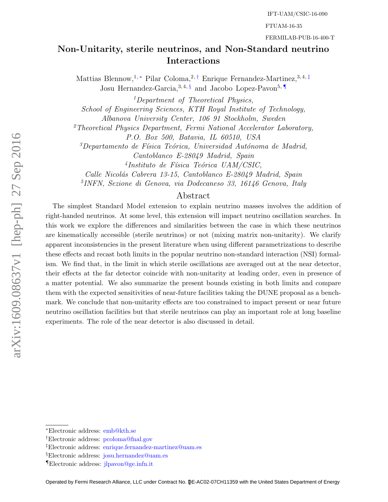FTUAM-16-35

FERMILAB-PUB-16-400-T

# Non-Unitarity, sterile neutrinos, and Non-Standard neutrino Interactions

Mattias Blennow,<sup>1, \*</sup> Pilar Coloma,<sup>2,†</sup> Enrique Fernandez-Martinez,<sup>3,4,‡</sup> Josu Hernandez-Garcia,  $3,4,8$  and Jacobo Lopez-Pavon<sup>5,  $\P$ </sup>

<sup>1</sup>Department of Theoretical Physics,

School of Engineering Sciences, KTH Royal Institute of Technology,

Albanova University Center, 106 91 Stockholm, Sweden

<sup>2</sup>Theoretical Physics Department, Fermi National Accelerator Laboratory,

P.O. Box 500, Batavia, IL 60510, USA

 $3$ Departamento de Física Teórica, Universidad Autónoma de Madrid,

Cantoblanco E-28049 Madrid, Spain

<sup>4</sup>Instituto de Física Teórica UAM/CSIC,

Calle Nicolás Cabrera 13-15, Cantoblanco E-28049 Madrid, Spain

5 INFN, Sezione di Genova, via Dodecaneso 33, 16146 Genova, Italy

# Abstract

The simplest Standard Model extension to explain neutrino masses involves the addition of right-handed neutrinos. At some level, this extension will impact neutrino oscillation searches. In this work we explore the differences and similarities between the case in which these neutrinos are kinematically accessible (sterile neutrinos) or not (mixing matrix non-unitarity). We clarify apparent inconsistencies in the present literature when using different parametrizations to describe these effects and recast both limits in the popular neutrino non-standard interaction (NSI) formalism. We find that, in the limit in which sterile oscillations are averaged out at the near detector, their effects at the far detector coincide with non-unitarity at leading order, even in presence of a matter potential. We also summarize the present bounds existing in both limits and compare them with the expected sensitivities of near-future facilities taking the DUNE proposal as a benchmark. We conclude that non-unitarity effects are too constrained to impact present or near future neutrino oscillation facilities but that sterile neutrinos can play an important role at long baseline experiments. The role of the near detector is also discussed in detail.

<sup>∗</sup>Electronic address: [emb@kth.se](mailto:emb@kth.se)

<sup>†</sup>Electronic address: [pcoloma@fnal.gov](mailto:pcoloma@fnal.gov)

<sup>‡</sup>Electronic address: [enrique.fernandez-martinez@uam.es](mailto:enrique.fernandez-martinez@uam.es)

<sup>§</sup>Electronic address: [josu.hernandez@uam.es](mailto:josu.hernandez@uam.es)

<sup>¶</sup>Electronic address: [jlpavon@ge.infn.it](mailto:jlpavon@ge.infn.it)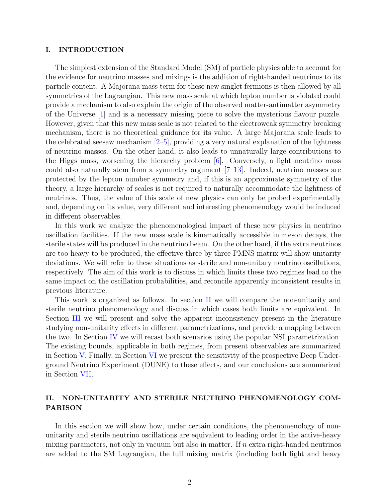### I. INTRODUCTION

The simplest extension of the Standard Model (SM) of particle physics able to account for the evidence for neutrino masses and mixings is the addition of right-handed neutrinos to its particle content. A Majorana mass term for these new singlet fermions is then allowed by all symmetries of the Lagrangian. This new mass scale at which lepton number is violated could provide a mechanism to also explain the origin of the observed matter-antimatter asymmetry of the Universe [1] and is a necessary missing piece to solve the mysterious flavour puzzle. However, given that this new mass scale is not related to the electroweak symmetry breaking mechanism, there is no theoretical guidance for its value. A large Majorana scale leads to the celebrated seesaw mechanism  $[2-5]$ , providing a very natural explanation of the lightness of neutrino masses. On the other hand, it also leads to unnaturally large contributions to the Higgs mass, worsening the hierarchy problem  $[6]$ . Conversely, a light neutrino mass could also naturally stem from a symmetry argument  $[7-13]$ . Indeed, neutrino masses are protected by the lepton number symmetry and, if this is an approximate symmetry of the theory, a large hierarchy of scales is not required to naturally accommodate the lightness of neutrinos. Thus, the value of this scale of new physics can only be probed experimentally and, depending on its value, very different and interesting phenomenology would be induced in different observables.

In this work we analyze the phenomenological impact of these new physics in neutrino oscillation facilities. If the new mass scale is kinematically accessible in meson decays, the sterile states will be produced in the neutrino beam. On the other hand, if the extra neutrinos are too heavy to be produced, the effective three by three PMNS matrix will show unitarity deviations. We will refer to these situations as sterile and non-unitary neutrino oscillations, respectively. The aim of this work is to discuss in which limits these two regimes lead to the same impact on the oscillation probabilities, and reconcile apparently inconsistent results in previous literature.

This work is organized as follows. In section II we will compare the non-unitarity and sterile neutrino phenomenology and discuss in which cases both limits are equivalent. In Section III we will present and solve the apparent inconsistency present in the literature studying non-unitarity effects in different parametrizations, and provide a mapping between the two. In Section IV we will recast both scenarios using the popular NSI parametrization. The existing bounds, applicable in both regimes, from present observables are summarized in Section V. Finally, in Section VI we present the sensitivity of the prospective Deep Underground Neutrino Experiment (DUNE) to these effects, and our conclusions are summarized in Section VII.

# II. NON-UNITARITY AND STERILE NEUTRINO PHENOMENOLOGY COM-PARISON

In this section we will show how, under certain conditions, the phenomenology of nonunitarity and sterile neutrino oscillations are equivalent to leading order in the active-heavy mixing parameters, not only in vacuum but also in matter. If  $n$  extra right-handed neutrinos are added to the SM Lagrangian, the full mixing matrix (including both light and heavy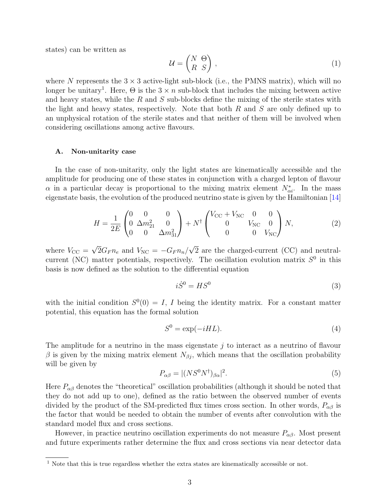states) can be written as

$$
\mathcal{U} = \begin{pmatrix} N & \Theta \\ R & S \end{pmatrix},\tag{1}
$$

where N represents the  $3 \times 3$  active-light sub-block (i.e., the PMNS matrix), which will no longer be unitary<sup>1</sup>. Here,  $\Theta$  is the  $3 \times n$  sub-block that includes the mixing between active and heavy states, while the  $R$  and  $S$  sub-blocks define the mixing of the sterile states with the light and heavy states, respectively. Note that both  $R$  and  $S$  are only defined up to an unphysical rotation of the sterile states and that neither of them will be involved when considering oscillations among active flavours.

#### A. Non-unitarity case

In the case of non-unitarity, only the light states are kinematically accessible and the amplitude for producing one of these states in conjunction with a charged lepton of flavour  $\alpha$  in a particular decay is proportional to the mixing matrix element  $N^*_{\alpha i}$ . In the mass eigenstate basis, the evolution of the produced neutrino state is given by the Hamiltonian [14]

$$
H = \frac{1}{2E} \begin{pmatrix} 0 & 0 & 0 \\ 0 & \Delta m_{21}^2 & 0 \\ 0 & 0 & \Delta m_{31}^2 \end{pmatrix} + N^{\dagger} \begin{pmatrix} V_{\rm CC} + V_{\rm NC} & 0 & 0 \\ 0 & V_{\rm NC} & 0 \\ 0 & 0 & V_{\rm NC} \end{pmatrix} N, \tag{2}
$$

where  $V_{\text{CC}} =$ √  $2G_F n_e$  and  $V_{\rm NC} = -G_F n_n/$ √ 2 are the charged-current (CC) and neutralcurrent (NC) matter potentials, respectively. The oscillation evolution matrix  $S^0$  in this basis is now defined as the solution to the differential equation

$$
i\dot{S}^0 = HS^0\tag{3}
$$

with the initial condition  $S^0(0) = I$ , I being the identity matrix. For a constant matter potential, this equation has the formal solution

$$
S^0 = \exp(-iHL). \tag{4}
$$

The amplitude for a neutrino in the mass eigenstate  $j$  to interact as a neutrino of flavour β is given by the mixing matrix element  $N_{βj}$ , which means that the oscillation probability will be given by

$$
P_{\alpha\beta} = |(NS^0N^\dagger)_{\beta\alpha}|^2. \tag{5}
$$

Here  $P_{\alpha\beta}$  denotes the "theoretical" oscillation probabilities (although it should be noted that they do not add up to one), defined as the ratio between the observed number of events divided by the product of the SM-predicted flux times cross section. In other words,  $P_{\alpha\beta}$  is the factor that would be needed to obtain the number of events after convolution with the standard model flux and cross sections.

However, in practice neutrino oscillation experiments do not measure  $P_{\alpha\beta}$ . Most present and future experiments rather determine the flux and cross sections via near detector data

<sup>&</sup>lt;sup>1</sup> Note that this is true regardless whether the extra states are kinematically accessible or not.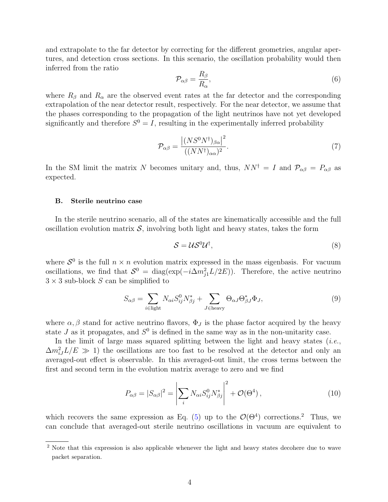and extrapolate to the far detector by correcting for the different geometries, angular apertures, and detection cross sections. In this scenario, the oscillation probability would then inferred from the ratio

$$
\mathcal{P}_{\alpha\beta} = \frac{R_{\beta}}{R_{\alpha}},\tag{6}
$$

where  $R_\beta$  and  $R_\alpha$  are the observed event rates at the far detector and the corresponding extrapolation of the near detector result, respectively. For the near detector, we assume that the phases corresponding to the propagation of the light neutrinos have not yet developed significantly and therefore  $S^0 = I$ , resulting in the experimentally inferred probability

$$
\mathcal{P}_{\alpha\beta} = \frac{\left| (NS^0 N^\dagger)_{\beta\alpha} \right|^2}{((NN^\dagger)_{\alpha\alpha})^2}.
$$
\n(7)

In the SM limit the matrix N becomes unitary and, thus,  $NN^{\dagger} = I$  and  $\mathcal{P}_{\alpha\beta} = P_{\alpha\beta}$  as expected.

#### B. Sterile neutrino case

In the sterile neutrino scenario, all of the states are kinematically accessible and the full oscillation evolution matrix  $\mathcal{S}$ , involving both light and heavy states, takes the form

$$
S = \mathcal{U}S^0 \mathcal{U}^\dagger,\tag{8}
$$

where  $S^0$  is the full  $n \times n$  evolution matrix expressed in the mass eigenbasis. For vacuum oscillations, we find that  $S^0 = \text{diag}(\exp(-i\Delta m_{j1}^2 L/2E))$ . Therefore, the active neutrino  $3 \times 3$  sub-block S can be simplified to

$$
S_{\alpha\beta} = \sum_{i \in \text{light}} N_{\alpha i} S_{ij}^0 N_{\beta j}^* + \sum_{J \in \text{heavy}} \Theta_{\alpha J} \Theta_{\beta J}^* \Phi_J,
$$
\n(9)

where  $\alpha, \beta$  stand for active neutrino flavors,  $\Phi_J$  is the phase factor acquired by the heavy state  $J$  as it propagates, and  $S^0$  is defined in the same way as in the non-unitarity case.

In the limit of large mass squared splitting between the light and heavy states  $(i.e.,$  $\Delta m_{iJ}^2 L/E \gg 1$ ) the oscillations are too fast to be resolved at the detector and only an averaged-out effect is observable. In this averaged-out limit, the cross terms between the first and second term in the evolution matrix average to zero and we find

$$
P_{\alpha\beta} = |S_{\alpha\beta}|^2 = \left| \sum_i N_{\alpha i} S_{ij}^0 N_{\beta j}^* \right|^2 + \mathcal{O}(\Theta^4), \qquad (10)
$$

which recovers the same expression as Eq. (5) up to the  $\mathcal{O}(\Theta^4)$  corrections.<sup>2</sup> Thus, we can conclude that averaged-out sterile neutrino oscillations in vacuum are equivalent to

<sup>2</sup> Note that this expression is also applicable whenever the light and heavy states decohere due to wave packet separation.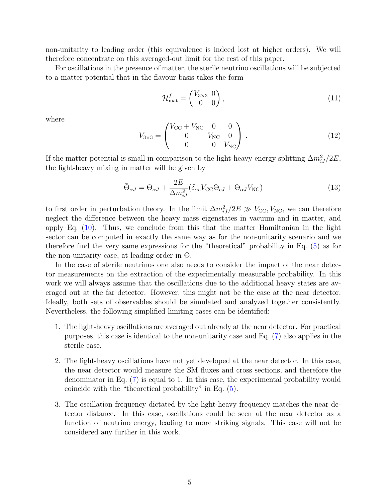non-unitarity to leading order (this equivalence is indeed lost at higher orders). We will therefore concentrate on this averaged-out limit for the rest of this paper.

For oscillations in the presence of matter, the sterile neutrino oscillations will be subjected to a matter potential that in the flavour basis takes the form

$$
\mathcal{H}_{\text{mat}}^f = \begin{pmatrix} V_{3\times 3} & 0 \\ 0 & 0 \end{pmatrix},\tag{11}
$$

where

$$
V_{3\times 3} = \begin{pmatrix} V_{\text{CC}} + V_{\text{NC}} & 0 & 0 \\ 0 & V_{\text{NC}} & 0 \\ 0 & 0 & V_{\text{NC}} \end{pmatrix} . \tag{12}
$$

If the matter potential is small in comparison to the light-heavy energy splitting  $\Delta m_{iJ}^2/2E$ , the light-heavy mixing in matter will be given by

$$
\tilde{\Theta}_{\alpha J} = \Theta_{\alpha J} + \frac{2E}{\Delta m_{iJ}^2} (\delta_{\alpha e} V_{\rm CC} \Theta_{eJ} + \Theta_{\alpha J} V_{\rm NC})
$$
\n(13)

to first order in perturbation theory. In the limit  $\Delta m_{iJ}^2/2E \gg V_{\text{CC}}$ , V<sub>NC</sub>, we can therefore neglect the difference between the heavy mass eigenstates in vacuum and in matter, and apply Eq. (10). Thus, we conclude from this that the matter Hamiltonian in the light sector can be computed in exactly the same way as for the non-unitarity scenario and we therefore find the very same expressions for the "theoretical" probability in Eq. (5) as for the non-unitarity case, at leading order in  $\Theta$ .

In the case of sterile neutrinos one also needs to consider the impact of the near detector measurements on the extraction of the experimentally measurable probability. In this work we will always assume that the oscillations due to the additional heavy states are averaged out at the far detector. However, this might not be the case at the near detector. Ideally, both sets of observables should be simulated and analyzed together consistently. Nevertheless, the following simplified limiting cases can be identified:

- 1. The light-heavy oscillations are averaged out already at the near detector. For practical purposes, this case is identical to the non-unitarity case and Eq. (7) also applies in the sterile case.
- 2. The light-heavy oscillations have not yet developed at the near detector. In this case, the near detector would measure the SM fluxes and cross sections, and therefore the denominator in Eq. (7) is equal to 1. In this case, the experimental probability would coincide with the "theoretical probability" in Eq. (5).
- 3. The oscillation frequency dictated by the light-heavy frequency matches the near detector distance. In this case, oscillations could be seen at the near detector as a function of neutrino energy, leading to more striking signals. This case will not be considered any further in this work.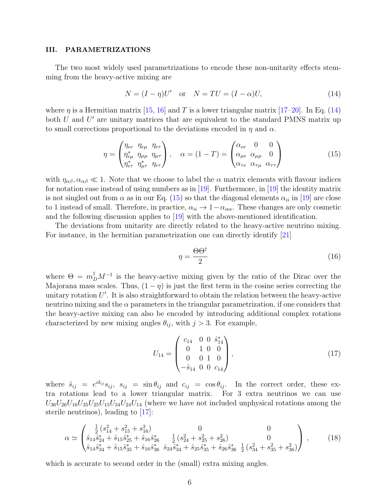### III. PARAMETRIZATIONS

The two most widely used parametrizations to encode these non-unitarity effects stemming from the heavy-active mixing are

$$
N = (I - \eta)U' \quad \text{or} \quad N = TU = (I - \alpha)U,\tag{14}
$$

where  $\eta$  is a Hermitian matrix [15, 16] and T is a lower triangular matrix [17–20]. In Eq. (14) both  $U$  and  $U'$  are unitary matrices that are equivalent to the standard PMNS matrix up to small corrections proportional to the deviations encoded in  $\eta$  and  $\alpha$ .

$$
\eta = \begin{pmatrix} \eta_{ee} & \eta_{e\mu} & \eta_{e\tau} \\ \eta_{e\mu}^* & \eta_{\mu\mu} & \eta_{\mu\tau} \\ \eta_{e\tau}^* & \eta_{\mu\tau}^* & \eta_{e\tau} \end{pmatrix}, \quad \alpha = (1 - T) = \begin{pmatrix} \alpha_{ee} & 0 & 0 \\ \alpha_{\mu e} & \alpha_{\mu\mu} & 0 \\ \alpha_{\tau e} & \alpha_{\tau\mu} & \alpha_{\tau\tau} \end{pmatrix}
$$
(15)

with  $\eta_{\alpha\beta}, \alpha_{\alpha\beta} \ll 1$ . Note that we choose to label the  $\alpha$  matrix elements with flavour indices for notation ease instead of using numbers as in [19]. Furthermore, in [19] the identity matrix is not singled out from  $\alpha$  as in our Eq. (15) so that the diagonal elements  $\alpha_{ii}$  in [19] are close to 1 instead of small. Therefore, in practice,  $\alpha_{ii} \rightarrow 1-\alpha_{\alpha\alpha}$ . These changes are only cosmetic and the following discussion applies to [19] with the above-mentioned identification.

The deviations from unitarity are directly related to the heavy-active neutrino mixing. For instance, in the hermitian parametrization one can directly identify [21]

$$
\eta = \frac{\Theta \Theta^{\dagger}}{2} \tag{16}
$$

where  $\Theta = m_D^{\dagger} M^{-1}$  is the heavy-active mixing given by the ratio of the Dirac over the Majorana mass scales. Thus,  $(1 - \eta)$  is just the first term in the cosine series correcting the unitary rotation  $U'$ . It is also straightforward to obtain the relation between the heavy-active neutrino mixing and the  $\alpha$  parameters in the triangular parametrization, if one considers that the heavy-active mixing can also be encoded by introducing additional complex rotations characterized by new mixing angles  $\theta_{ij}$ , with  $j > 3$ . For example,

$$
U_{14} = \begin{pmatrix} c_{14} & 0 & 0 & \hat{s}_{14}^* \\ 0 & 1 & 0 & 0 \\ 0 & 0 & 1 & 0 \\ -\hat{s}_{14} & 0 & 0 & c_{14} \end{pmatrix},
$$
(17)

where  $\hat{s}_{ij} = e^{i\delta_{ij}} s_{ij}$ ,  $s_{ij} = \sin \theta_{ij}$  and  $c_{ij} = \cos \theta_{ij}$ . In the correct order, these extra rotations lead to a lower triangular matrix. For 3 extra neutrinos we can use  $U_{36}U_{26}U_{16}U_{35}U_{25}U_{15}U_{34}U_{24}U_{14}$  (where we have not included unphysical rotations among the sterile neutrinos), leading to [17]:

$$
\alpha \simeq \begin{pmatrix} \frac{1}{2} \left( s_{14}^2 + s_{15}^2 + s_{16}^2 \right) & 0 & 0 \\ \hat{s}_{14} \hat{s}_{24}^* + \hat{s}_{15} \hat{s}_{25}^* + \hat{s}_{16} \hat{s}_{26}^* & \frac{1}{2} \left( s_{24}^2 + s_{25}^2 + s_{26}^2 \right) & 0 \\ \hat{s}_{14} \hat{s}_{34}^* + \hat{s}_{15} \hat{s}_{35}^* + \hat{s}_{16} \hat{s}_{36}^* & \hat{s}_{24} \hat{s}_{34}^* + \hat{s}_{25} \hat{s}_{35}^* + \hat{s}_{26} \hat{s}_{36}^* & \frac{1}{2} \left( s_{34}^2 + s_{35}^2 + s_{36}^2 \right) \end{pmatrix}, \qquad (18)
$$

which is accurate to second order in the (small) extra mixing angles.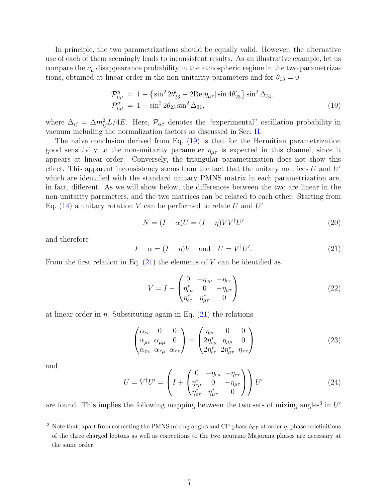In principle, the two parametrizations should be equally valid. However, the alternative use of each of them seemingly leads to inconsistent results. As an illustrative example, let us compare the  $\nu_{\mu}$  disappearance probability in the atmospheric regime in the two parametrizations, obtained at linear order in the non-unitarity parameters and for  $\theta_{13} = 0$ 

$$
\mathcal{P}^{\eta}_{\mu\mu} = 1 - {\sin^2 2\theta'_{23} - 2\text{Re}[\eta_{\mu\tau}]\sin 4\theta'_{23}} \sin^2 \Delta_{31}, \n\mathcal{P}^{\alpha}_{\mu\mu} = 1 - \sin^2 2\theta_{23} \sin^2 \Delta_{31},
$$
\n(19)

where  $\Delta_{ij} = \Delta m_{ij}^2 L/4E$ . Here,  $\mathcal{P}_{\alpha\beta}$  denotes the "experimental" oscillation probability in vacuum including the normalization factors as discussed in Sec. II.

The naive conclusion derived from Eq. (19) is that for the Hermitian parametrization good sensitivity to the non-unitarity parameter  $\eta_{\mu\tau}$  is expected in this channel, since it appears at linear order. Conversely, the triangular parametrization does not show this effect. This apparent inconsistency stems from the fact that the unitary matrices  $U$  and  $U'$ which are identified with the standard unitary PMNS matrix in each parametrization are, in fact, different. As we will show below, the differences between the two are linear in the non-unitarity parameters, and the two matrices can be related to each other. Starting from Eq. (14) a unitary rotation V can be performed to relate U and  $U'$ 

$$
N = (I - \alpha)U = (I - \eta)VV^{\dagger}U'
$$
\n(20)

and therefore

$$
I - \alpha = (I - \eta)V \quad \text{and} \quad U = V^{\dagger}U'. \tag{21}
$$

From the first relation in Eq.  $(21)$  the elements of V can be identified as

$$
V = I - \begin{pmatrix} 0 & -\eta_{e\mu} & -\eta_{e\tau} \\ \eta_{e\mu}^* & 0 & -\eta_{\mu\tau} \\ \eta_{e\tau}^* & \eta_{\mu\tau}^* & 0 \end{pmatrix}
$$
 (22)

at linear order in  $\eta$ . Substituting again in Eq. (21) the relations

$$
\begin{pmatrix}\n\alpha_{ee} & 0 & 0 \\
\alpha_{\mu e} & \alpha_{\mu \mu} & 0 \\
\alpha_{\tau e} & \alpha_{\tau \mu} & \alpha_{\tau \tau}\n\end{pmatrix} = \begin{pmatrix}\n\eta_{ee} & 0 & 0 \\
2\eta_{e\mu}^* & \eta_{\mu \mu} & 0 \\
2\eta_{e\tau}^* & 2\eta_{\mu \tau}^* & \eta_{\tau \tau}\n\end{pmatrix}
$$
\n(23)

and

$$
U = V^{\dagger} U' = \left( I + \begin{pmatrix} 0 & -\eta_{e\mu} & -\eta_{e\tau} \\ \eta_{e\mu}^* & 0 & -\eta_{\mu\tau} \\ \eta_{e\tau}^* & \eta_{\mu\tau}^* & 0 \end{pmatrix} \right) U'
$$
 (24)

are found. This implies the following mapping between the two sets of mixing angles<sup>3</sup> in  $U'$ 

<sup>&</sup>lt;sup>3</sup> Note that, apart from correcting the PMNS mixing angles and CP-phase  $\delta_{\rm CP}$  at order  $\eta$ , phase redefinitions of the three charged leptons as well as corrections to the two neutrino Majorana phases are necessary at the same order.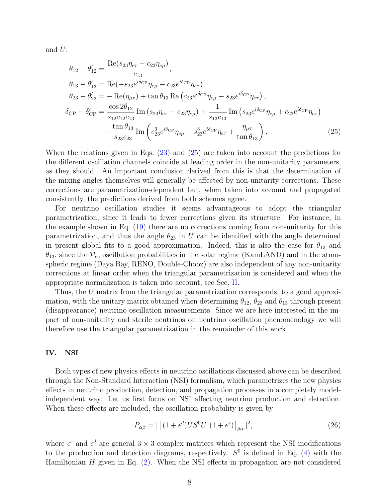and  $U$ :

$$
\theta_{12} - \theta'_{12} = \frac{\text{Re}(s_{23}\eta_{e\tau} - c_{23}\eta_{e\mu})}{c_{13}}, \n\theta_{13} - \theta'_{13} = \text{Re}(-s_{23}e^{i\delta_{CP}}\eta_{e\mu} - c_{23}e^{i\delta_{CP}}\eta_{e\tau}), \n\theta_{23} - \theta'_{23} = -\text{Re}(\eta_{\mu\tau}) + \tan\theta_{13}\text{ Re}(c_{23}e^{i\delta_{CP}}\eta_{e\mu} - s_{23}e^{i\delta_{CP}}\eta_{e\tau}), \n\delta_{CP} - \delta'_{CP} = \frac{\cos 2\theta_{12}}{s_{12}c_{12}c_{13}}\text{Im}(s_{23}\eta_{e\tau} - c_{23}\eta_{e\mu}) + \frac{1}{s_{13}c_{13}}\text{Im}(s_{23}e^{i\delta_{CP}}\eta_{e\mu} + c_{23}e^{i\delta_{CP}}\eta_{e\tau}) \n- \frac{\tan\theta_{13}}{s_{23}c_{23}}\text{Im}(c_{23}^3e^{i\delta_{CP}}\eta_{e\mu} + s_{23}^3e^{i\delta_{CP}}\eta_{e\tau} + \frac{\eta_{\mu\tau}}{\tan\theta_{13}}.
$$
\n(25)

When the relations given in Eqs. (23) and (25) are taken into account the predictions for the different oscillation channels coincide at leading order in the non-unitarity parameters, as they should. An important conclusion derived from this is that the determination of the mixing angles themselves will generally be affected by non-unitarity corrections. These corrections are parametrization-dependent but, when taken into account and propagated consistently, the predictions derived from both schemes agree.

For neutrino oscillation studies it seems advantageous to adopt the triangular parametrization, since it leads to fewer corrections given its structure. For instance, in the example shown in Eq. (19) there are no corrections coming from non-unitarity for this parametrization, and thus the angle  $\theta_{23}$  in U can be identified with the angle determined in present global fits to a good approximation. Indeed, this is also the case for  $\theta_{12}$  and  $\theta_{13}$ , since the  $\mathcal{P}_{ee}$  oscillation probabilities in the solar regime (KamLAND) and in the atmospheric regime (Daya Bay, RENO, Double-Chooz) are also independent of any non-unitarity corrections at linear order when the triangular parametrization is considered and when the appropriate normalization is taken into account, see Sec. II.

Thus, the U matrix from the triangular parametrization corresponds, to a good approximation, with the unitary matrix obtained when determining  $\theta_{12}$ ,  $\theta_{23}$  and  $\theta_{13}$  through present (disappearance) neutrino oscillation measurements. Since we are here interested in the impact of non-unitarity and sterile neutrinos on neutrino oscillation phenomenology we will therefore use the triangular parametrization in the remainder of this work.

#### IV. NSI

Both types of new physics effects in neutrino oscillations discussed above can be described through the Non-Standard Interaction (NSI) formalism, which parametrizes the new physics effects in neutrino production, detection, and propagation processes in a completely modelindependent way. Let us first focus on NSI affecting neutrino production and detection. When these effects are included, the oscillation probability is given by

$$
P_{\alpha\beta} = |\left[ (1 + \epsilon^d) U S^0 U^\dagger (1 + \epsilon^s) \right]_{\beta\alpha}|^2,\tag{26}
$$

where  $\epsilon^s$  and  $\epsilon^d$  are general  $3 \times 3$  complex matrices which represent the NSI modifications to the production and detection diagrams, respectively.  $S^0$  is defined in Eq. (4) with the Hamiltonian  $H$  given in Eq.  $(2)$ . When the NSI effects in propagation are not considered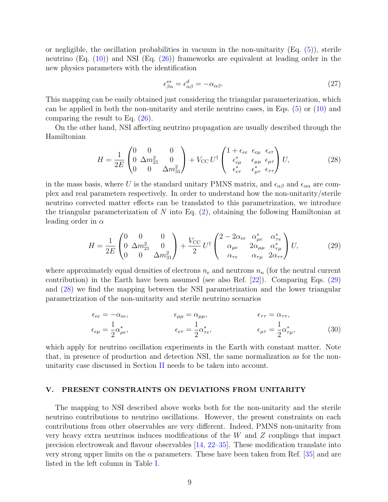or negligible, the oscillation probabilities in vacuum in the non-unitarity  $(E_q, (5))$ , sterile neutrino  $(Eq. (10))$  and NSI  $(Eq. (26))$  frameworks are equivalent at leading order in the new physics parameters with the identification

$$
\epsilon_{\beta\alpha}^{s*} = \epsilon_{\alpha\beta}^d = -\alpha_{\alpha\beta}.\tag{27}
$$

This mapping can be easily obtained just considering the triangular parameterization, which can be applied in both the non-unitarity and sterile neutrino cases, in Eqs. (5) or (10) and comparing the result to Eq. (26).

On the other hand, NSI affecting neutrino propagation are usually described through the Hamiltonian

$$
H = \frac{1}{2E} \begin{pmatrix} 0 & 0 & 0 \\ 0 & \Delta m_{21}^2 & 0 \\ 0 & 0 & \Delta m_{31}^2 \end{pmatrix} + V_{\rm CC} U^{\dagger} \begin{pmatrix} 1 + \epsilon_{ee} & \epsilon_{e\mu} & \epsilon_{e\tau} \\ \epsilon_{e\mu}^* & \epsilon_{\mu\mu} & \epsilon_{\mu\tau} \\ \epsilon_{e\tau}^* & \epsilon_{\mu\tau}^* & \epsilon_{\tau\tau} \end{pmatrix} U, \tag{28}
$$

in the mass basis, where U is the standard unitary PMNS matrix, and  $\epsilon_{\alpha\beta}$  and  $\epsilon_{\alpha\alpha}$  are complex and real parameters respectively. In order to understand how the non-unitarity/sterile neutrino corrected matter effects can be translated to this parametrization, we introduce the triangular parameterization of N into Eq.  $(2)$ , obtaining the following Hamiltonian at leading order in  $\alpha$ 

$$
H = \frac{1}{2E} \begin{pmatrix} 0 & 0 & 0 \\ 0 & \Delta m_{21}^2 & 0 \\ 0 & 0 & \Delta m_{31}^2 \end{pmatrix} + \frac{V_{\rm CC}}{2} U^{\dagger} \begin{pmatrix} 2 - 2\alpha_{ee} & \alpha_{\mu e}^* & \alpha_{\tau e}^* \\ \alpha_{\mu e} & 2\alpha_{\mu \mu} & \alpha_{\tau \mu}^* \\ \alpha_{\tau e} & \alpha_{\tau \mu} & 2\alpha_{\tau \tau} \end{pmatrix} U, \tag{29}
$$

where approximately equal densities of electrons  $n_e$  and neutrons  $n_n$  (for the neutral current contribution) in the Earth have been assumed (see also Ref. [22]). Comparing Eqs. (29) and (28) we find the mapping between the NSI parametrization and the lower triangular parametrization of the non-unitarity and sterile neutrino scenarios

$$
\epsilon_{ee} = -\alpha_{ee}, \qquad \epsilon_{\mu\mu} = \alpha_{\mu\mu}, \qquad \epsilon_{\tau\tau} = \alpha_{\tau\tau},
$$
  
\n
$$
\epsilon_{e\mu} = \frac{1}{2}\alpha_{\mu e}^*, \qquad \epsilon_{e\tau} = \frac{1}{2}\alpha_{\tau e}^*, \qquad \epsilon_{\mu\tau} = \frac{1}{2}\alpha_{\tau\mu}^*,
$$
\n(30)

which apply for neutrino oscillation experiments in the Earth with constant matter. Note that, in presence of production and detection NSI, the same normalization as for the nonunitarity case discussed in Section II needs to be taken into account.

# V. PRESENT CONSTRAINTS ON DEVIATIONS FROM UNITARITY

The mapping to NSI described above works both for the non-unitarity and the sterile neutrino contributions to neutrino oscillations. However, the present constraints on each contributions from other observables are very different. Indeed, PMNS non-unitarity from very heavy extra neutrinos induces modifications of the W and Z couplings that impact precision electroweak and flavour observables [14, 22–35]. These modification translate into very strong upper limits on the  $\alpha$  parameters. These have been taken from Ref. [35] and are listed in the left column in Table I.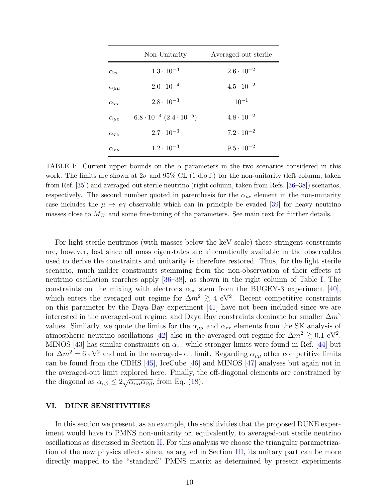|                     | Non-Unitarity                           | Averaged-out sterile |
|---------------------|-----------------------------------------|----------------------|
| $\alpha_{ee}$       | $1.3 \cdot 10^{-3}$                     | $2.6 \cdot 10^{-2}$  |
| $\alpha_{\mu\mu}$   | $2.0 \cdot 10^{-4}$                     | $4.5 \cdot 10^{-2}$  |
| $\alpha_{\tau\tau}$ | $2.8 \cdot 10^{-3}$                     | $10^{-1}$            |
| $\alpha_{\mu e}$    | $6.8 \cdot 10^{-4} (2.4 \cdot 10^{-5})$ | $4.8 \cdot 10^{-2}$  |
| $\alpha_{\tau e}$   | $2.7 \cdot 10^{-3}$                     | $7.2 \cdot 10^{-2}$  |
| $\alpha_{\tau\mu}$  | $1.2 \cdot 10^{-3}$                     | $9.5 \cdot 10^{-2}$  |

TABLE I: Current upper bounds on the  $\alpha$  parameters in the two scenarios considered in this work. The limits are shown at  $2\sigma$  and  $95\%$  CL (1 d.o.f.) for the non-unitarity (left column, taken from Ref. [35]) and averaged-out sterile neutrino (right column, taken from Refs. [36–38]) scenarios, respectively. The second number quoted in parenthesis for the  $\alpha_{\mu e}$  element in the non-unitarity case includes the  $\mu \to e\gamma$  observable which can in principle be evaded [39] for heavy neutrino masses close to  $M_W$  and some fine-tuning of the parameters. See main text for further details.

For light sterile neutrinos (with masses below the keV scale) these stringent constraints are, however, lost since all mass eigenstates are kinematically available in the observables used to derive the constraints and unitarity is therefore restored. Thus, for the light sterile scenario, much milder constraints stemming from the non-observation of their effects at neutrino oscillation searches apply [36–38], as shown in the right column of Table I. The constraints on the mixing with electrons  $\alpha_{ee}$  stem from the BUGEY-3 experiment [40], which enters the averaged out regime for  $\Delta m^2 \gtrsim 4$  eV<sup>2</sup>. Recent competitive constraints on this parameter by the Daya Bay experiment [41] have not been included since we are interested in the averaged-out regime, and Daya Bay constraints dominate for smaller  $\Delta m^2$ values. Similarly, we quote the limits for the  $\alpha_{\mu\mu}$  and  $\alpha_{\tau\tau}$  elements from the SK analysis of atmospheric neutrino oscillations [42] also in the averaged-out regime for  $\Delta m^2 \gtrsim 0.1 \text{ eV}^2$ . MINOS [43] has similar constraints on  $\alpha_{\tau\tau}$  while stronger limits were found in Ref. [44] but for  $\Delta m^2 = 6$  eV<sup>2</sup> and not in the averaged-out limit. Regarding  $\alpha_{\mu\mu}$  other competitive limits can be found from the CDHS [45], IceCube [46] and MINOS [47] analyses but again not in the averaged-out limit explored here. Finally, the off-diagonal elements are constrained by the diagonal as  $\alpha_{\alpha\beta} \leq 2\sqrt{\alpha_{\alpha\alpha}\alpha_{\beta\beta}}$ , from Eq. (18).

### VI. DUNE SENSITIVITIES

In this section we present, as an example, the sensitivities that the proposed DUNE experiment would have to PMNS non-unitarity or, equivalently, to averaged-out sterile neutrino oscillations as discussed in Section II. For this analysis we choose the triangular parametrization of the new physics effects since, as argued in Section III, its unitary part can be more directly mapped to the "standard" PMNS matrix as determined by present experiments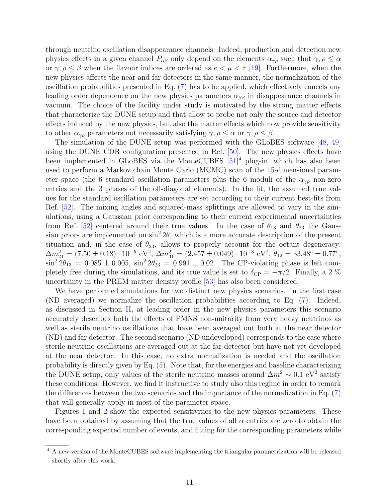through neutrino oscillation disappearance channels. Indeed, production and detection new physics effects in a given channel  $P_{\alpha\beta}$  only depend on the elements  $\alpha_{\gamma\rho}$  such that  $\gamma, \rho \leq \alpha$ or  $\gamma, \rho \leq \beta$  when the flavour indices are ordered as  $e < \mu < \tau$  [19]. Furthermore, when the new physics affects the near and far detectors in the same manner, the normalization of the oscillation probabilities presented in Eq. (7) has to be applied, which effectively cancels any leading order dependence on the new physics parameters  $\alpha_{\beta\beta}$  in disappearance channels in vacuum. The choice of the facility under study is motivated by the strong matter effects that characterize the DUNE setup and that allow to probe not only the source and detector effects induced by the new physics, but also the matter effects which now provide sensitivity to other  $\alpha_{\gamma\rho}$  parameters not necessarily satisfying  $\gamma, \rho \leq \alpha$  or  $\gamma, \rho \leq \beta$ .

The simulation of the DUNE setup was performed with the GLoBES software [48, 49] using the DUNE CDR configuration presented in Ref. [50]. The new physics effects have been implemented in GLoBES via the MonteCUBES  $[51]^4$  plug-in, which has also been used to perform a Markov chain Monte Carlo (MCMC) scan of the 15-dimensional parameter space (the 6 standard oscillation parameters plus the 6 moduli of the  $\alpha_{\gamma\rho}$  non-zero entries and the 3 phases of the off-diagonal elements). In the fit, the assumed true values for the standard oscillation parameters are set according to their current best-fits from Ref. [52]. The mixing angles and squared-mass splittings are allowed to vary in the simulations, using a Gaussian prior corresponding to their current experimental uncertainties from Ref. [52] centered around their true values. In the case of  $\theta_{13}$  and  $\theta_{23}$  the Gaussian priors are implemented on  $\sin^2 2\theta$ , which is a more accurate description of the present situation and, in the case of  $\theta_{23}$ , allows to properly account for the octant degeneracy:  $\Delta m_{21}^2 = (7.50 \pm 0.18) \cdot 10^{-5} \text{ eV}^2$ ,  $\Delta m_{31}^2 = (2.457 \pm 0.049) \cdot 10^{-3} \text{ eV}^2$ ,  $\theta_{12} = 33.48^\circ \pm 0.77^\circ$ ,  $\sin^2 2\theta_{13} = 0.085 \pm 0.005$ ,  $\sin^2 2\theta_{23} = 0.991 \pm 0.02$ . The CP-violating phase is left completely free during the simulations, and its true value is set to  $\delta_{\rm CP} = -\pi/2$ . Finally, a 2 % uncertainty in the PREM matter density profile [53] has also been considered.

We have performed simulations for two distinct new physics scenarios. In the first case (ND averaged) we normalize the oscillation probabilities according to Eq. (7). Indeed, as discussed in Section II, at leading order in the new physics parameters this scenario accurately describes both the effects of PMNS non-unitarity from very heavy neutrinos as well as sterile neutrino oscillations that have been averaged out both at the near detector (ND) and far detector. The second scenario (ND undeveloped) corresponds to the case where sterile neutrino oscillations are averaged out at the far detector but have not yet developed at the near detector. In this case, no extra normalization is needed and the oscillation probability is directly given by Eq. (5). Note that, for the energies and baseline characterizing the DUNE setup, only values of the sterile neutrino masses around  $\Delta m^2 \sim 0.1 \text{ eV}^2$  satisfy these conditions. However, we find it instructive to study also this regime in order to remark the differences between the two scenarios and the importance of the normalization in Eq. (7) that will generally apply in most of the parameter space.

Figures 1 and 2 show the expected sensitivities to the new physics parameters. These have been obtained by assuming that the true values of all  $\alpha$  entries are zero to obtain the corresponding expected number of events, and fitting for the corresponding parameters while

<sup>4</sup> A new version of the MonteCUBES software implementing the triangular parametrization will be released shortly after this work.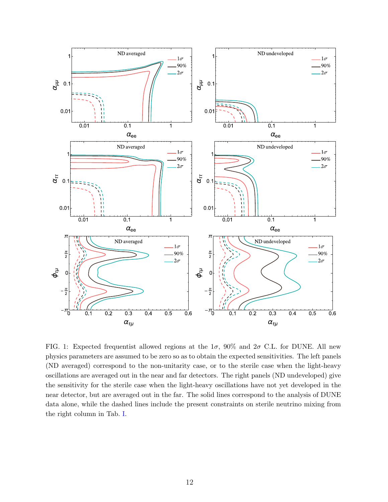

FIG. 1: Expected frequentist allowed regions at the  $1\sigma$ , 90% and  $2\sigma$  C.L. for DUNE. All new physics parameters are assumed to be zero so as to obtain the expected sensitivities. The left panels (ND averaged) correspond to the non-unitarity case, or to the sterile case when the light-heavy oscillations are averaged out in the near and far detectors. The right panels (ND undeveloped) give the sensitivity for the sterile case when the light-heavy oscillations have not yet developed in the near detector, but are averaged out in the far. The solid lines correspond to the analysis of DUNE data alone, while the dashed lines include the present constraints on sterile neutrino mixing from the right column in Tab. I.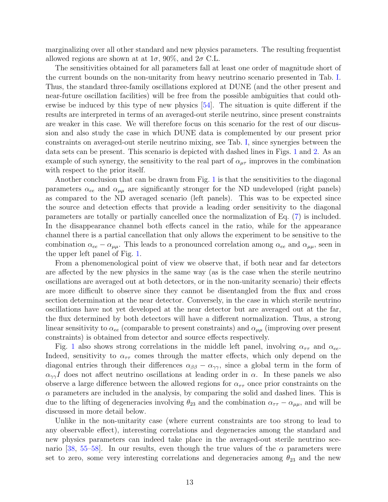marginalizing over all other standard and new physics parameters. The resulting frequentist allowed regions are shown at at  $1\sigma$ , 90%, and  $2\sigma$  C.L.

The sensitivities obtained for all parameters fall at least one order of magnitude short of the current bounds on the non-unitarity from heavy neutrino scenario presented in Tab. I. Thus, the standard three-family oscillations explored at DUNE (and the other present and near-future oscillation facilities) will be free from the possible ambiguities that could otherwise be induced by this type of new physics [54]. The situation is quite different if the results are interpreted in terms of an averaged-out sterile neutrino, since present constraints are weaker in this case. We will therefore focus on this scenario for the rest of our discussion and also study the case in which DUNE data is complemented by our present prior constraints on averaged-out sterile neutrino mixing, see Tab. I, since synergies between the data sets can be present. This scenario is depicted with dashed lines in Figs. 1 and 2. As an example of such synergy, the sensitivity to the real part of  $\alpha_{\mu\tau}$  improves in the combination with respect to the prior itself.

Another conclusion that can be drawn from Fig. 1 is that the sensitivities to the diagonal parameters  $\alpha_{ee}$  and  $\alpha_{\mu\mu}$  are significantly stronger for the ND undeveloped (right panels) as compared to the ND averaged scenario (left panels). This was to be expected since the source and detection effects that provide a leading order sensitivity to the diagonal parameters are totally or partially cancelled once the normalization of Eq. (7) is included. In the disappearance channel both effects cancel in the ratio, while for the appearance channel there is a partial cancellation that only allows the experiment to be sensitive to the combination  $\alpha_{ee} - \alpha_{\mu\mu}$ . This leads to a pronounced correlation among  $\alpha_{ee}$  and  $\alpha_{\mu\mu}$ , seen in the upper left panel of Fig. 1.

From a phenomenological point of view we observe that, if both near and far detectors are affected by the new physics in the same way (as is the case when the sterile neutrino oscillations are averaged out at both detectors, or in the non-unitarity scenario) their effects are more difficult to observe since they cannot be disentangled from the flux and cross section determination at the near detector. Conversely, in the case in which sterile neutrino oscillations have not yet developed at the near detector but are averaged out at the far, the flux determined by both detectors will have a different normalization. Thus, a strong linear sensitivity to  $\alpha_{ee}$  (comparable to present constraints) and  $\alpha_{\mu\mu}$  (improving over present constraints) is obtained from detector and source effects respectively.

Fig. 1 also shows strong correlations in the middle left panel, involving  $\alpha_{\tau\tau}$  and  $\alpha_{ee}$ . Indeed, sensitivity to  $\alpha_{\tau\tau}$  comes through the matter effects, which only depend on the diagonal entries through their differences  $\alpha_{\beta\beta} - \alpha_{\gamma\gamma}$ , since a global term in the form of  $\alpha_{\gamma\gamma}I$  does not affect neutrino oscillations at leading order in  $\alpha$ . In these panels we also observe a large difference between the allowed regions for  $\alpha_{\tau\tau}$  once prior constraints on the  $\alpha$  parameters are included in the analysis, by comparing the solid and dashed lines. This is due to the lifting of degeneracies involving  $\theta_{23}$  and the combination  $\alpha_{\tau\tau} - \alpha_{\mu\mu}$ , and will be discussed in more detail below.

Unlike in the non-unitarity case (where current constraints are too strong to lead to any observable effect), interesting correlations and degeneracies among the standard and new physics parameters can indeed take place in the averaged-out sterile neutrino scenario [38, 55–58]. In our results, even though the true values of the  $\alpha$  parameters were set to zero, some very interesting correlations and degeneracies among  $\theta_{23}$  and the new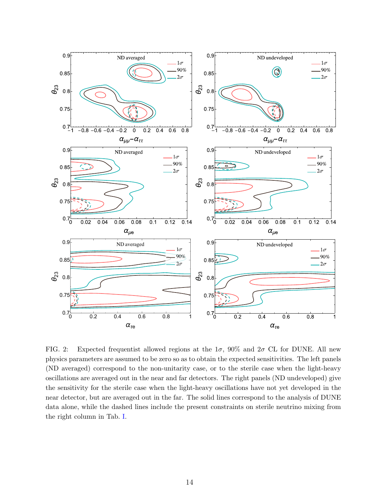

FIG. 2: Expected frequentist allowed regions at the  $1\sigma$ , 90% and  $2\sigma$  CL for DUNE. All new physics parameters are assumed to be zero so as to obtain the expected sensitivities. The left panels (ND averaged) correspond to the non-unitarity case, or to the sterile case when the light-heavy oscillations are averaged out in the near and far detectors. The right panels (ND undeveloped) give the sensitivity for the sterile case when the light-heavy oscillations have not yet developed in the near detector, but are averaged out in the far. The solid lines correspond to the analysis of DUNE data alone, while the dashed lines include the present constraints on sterile neutrino mixing from the right column in Tab. I.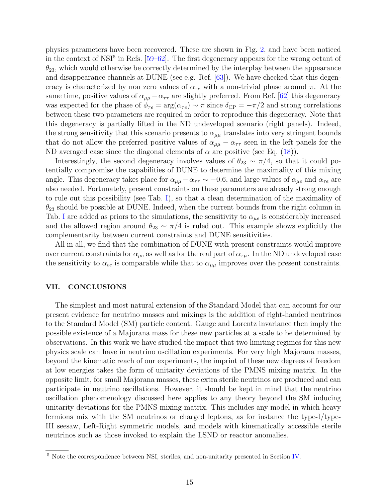physics parameters have been recovered. These are shown in Fig. 2, and have been noticed in the context of NSI<sup>5</sup> in Refs.  $[59–62]$ . The first degeneracy appears for the wrong octant of  $\theta_{23}$ , which would otherwise be correctly determined by the interplay between the appearance and disappearance channels at DUNE (see e.g. Ref. [63]). We have checked that this degeneracy is characterized by non zero values of  $\alpha_{\tau e}$  with a non-trivial phase around  $\pi$ . At the same time, positive values of  $\alpha_{\mu\mu} - \alpha_{\tau\tau}$  are slightly preferred. From Ref. [62] this degeneracy was expected for the phase of  $\phi_{\tau e} = \arg(\alpha_{\tau e}) \sim \pi$  since  $\delta_{\rm CP} = -\pi/2$  and strong correlations between these two parameters are required in order to reproduce this degeneracy. Note that this degeneracy is partially lifted in the ND undeveloped scenario (right panels). Indeed, the strong sensitivity that this scenario presents to  $\alpha_{\mu\mu}$  translates into very stringent bounds that do not allow the preferred positive values of  $\alpha_{\mu\mu} - \alpha_{\tau\tau}$  seen in the left panels for the ND averaged case since the diagonal elements of  $\alpha$  are positive (see Eq. (18)).

Interestingly, the second degeneracy involves values of  $\theta_{23} \sim \pi/4$ , so that it could potentially compromise the capabilities of DUNE to determine the maximality of this mixing angle. This degeneracy takes place for  $\alpha_{\mu\mu} - \alpha_{\tau\tau} \sim -0.6$ , and large values of  $\alpha_{\mu e}$  and  $\alpha_{\tau e}$  are also needed. Fortunately, present constraints on these parameters are already strong enough to rule out this possibility (see Tab. I), so that a clean determination of the maximality of  $\theta_{23}$  should be possible at DUNE. Indeed, when the current bounds from the right column in Tab. I are added as priors to the simulations, the sensitivity to  $\alpha_{\mu e}$  is considerably increased and the allowed region around  $\theta_{23} \sim \pi/4$  is ruled out. This example shows explicitly the complementarity between current constraints and DUNE sensitivities.

All in all, we find that the combination of DUNE with present constraints would improve over current constraints for  $\alpha_{\mu e}$  as well as for the real part of  $\alpha_{\tau\mu}$ . In the ND undeveloped case the sensitivity to  $\alpha_{ee}$  is comparable while that to  $\alpha_{\mu\mu}$  improves over the present constraints.

### VII. CONCLUSIONS

The simplest and most natural extension of the Standard Model that can account for our present evidence for neutrino masses and mixings is the addition of right-handed neutrinos to the Standard Model (SM) particle content. Gauge and Lorentz invariance then imply the possible existence of a Majorana mass for these new particles at a scale to be determined by observations. In this work we have studied the impact that two limiting regimes for this new physics scale can have in neutrino oscillation experiments. For very high Majorana masses, beyond the kinematic reach of our experiments, the imprint of these new degrees of freedom at low energies takes the form of unitarity deviations of the PMNS mixing matrix. In the opposite limit, for small Majorana masses, these extra sterile neutrinos are produced and can participate in neutrino oscillations. However, it should be kept in mind that the neutrino oscillation phenomenology discussed here applies to any theory beyond the SM inducing unitarity deviations for the PMNS mixing matrix. This includes any model in which heavy fermions mix with the SM neutrinos or charged leptons, as for instance the type-I/type-III seesaw, Left-Right symmetric models, and models with kinematically accessible sterile neutrinos such as those invoked to explain the LSND or reactor anomalies.

<sup>5</sup> Note the correspondence between NSI, steriles, and non-unitarity presented in Section IV.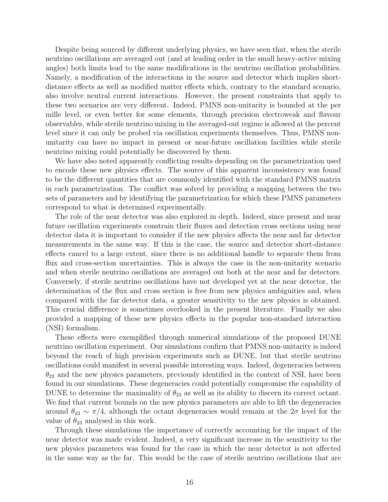Despite being sourced by different underlying physics, we have seen that, when the sterile neutrino oscillations are averaged out (and at leading order in the small heavy-active mixing angles) both limits lead to the same modifications in the neutrino oscillation probabilities. Namely, a modification of the interactions in the source and detector which implies shortdistance effects as well as modified matter effects which, contrary to the standard scenario, also involve neutral current interactions. However, the present constraints that apply to these two scenarios are very different. Indeed, PMNS non-unitarity is bounded at the per mille level, or even better for some elements, through precision electroweak and flavour observables, while sterile neutrino mixing in the averaged-out regime is allowed at the percent level since it can only be probed via oscillation experiments themselves. Thus, PMNS nonunitarity can have no impact in present or near-future oscillation facilities while sterile neutrino mixing could potentially be discovered by them.

We have also noted apparently conflicting results depending on the parametrization used to encode these new physics effects. The source of this apparent inconsistency was found to be the different quantities that are commonly identified with the standard PMNS matrix in each parametrization. The conflict was solved by providing a mapping between the two sets of parameters and by identifying the parametrization for which these PMNS parameters correspond to what is determined experimentally.

The role of the near detector was also explored in depth. Indeed, since present and near future oscillation experiments constrain their fluxes and detection cross sections using near detector data it is important to consider if the new physics affects the near and far detector measurements in the same way. If this is the case, the source and detector short-distance effects cancel to a large extent, since there is no additional handle to separate them from flux and cross-section uncertainties. This is always the case in the non-unitarity scenario and when sterile neutrino oscillations are averaged out both at the near and far detectors. Conversely, if sterile neutrino oscillations have not developed yet at the near detector, the determination of the flux and cross section is free from new physics ambiguities and, when compared with the far detector data, a greater sensitivity to the new physics is obtained. This crucial difference is sometimes overlooked in the present literature. Finally we also provided a mapping of these new physics effects in the popular non-standard interaction (NSI) formalism.

These effects were exemplified through numerical simulations of the proposed DUNE neutrino oscillation experiment. Our simulations confirm that PMNS non-unitarity is indeed beyond the reach of high precision experiments such as DUNE, but that sterile neutrino oscillations could manifest in several possible interesting ways. Indeed, degeneracies between  $\theta_{23}$  and the new physics parameters, previously identified in the context of NSI, have been found in our simulations. These degeneracies could potentially compromise the capability of DUNE to determine the maximality of  $\theta_{23}$  as well as its ability to discern its correct octant. We find that current bounds on the new physics parameters are able to lift the degeneracies around  $\theta_{23} \sim \pi/4$ , although the octant degeneracies would remain at the  $2\sigma$  level for the value of  $\theta_{23}$  analysed in this work.

Through these simulations the importance of correctly accounting for the impact of the near detector was made evident. Indeed, a very significant increase in the sensitivity to the new physics parameters was found for the case in which the near detector is not affected in the same way as the far. This would be the case of sterile neutrino oscillations that are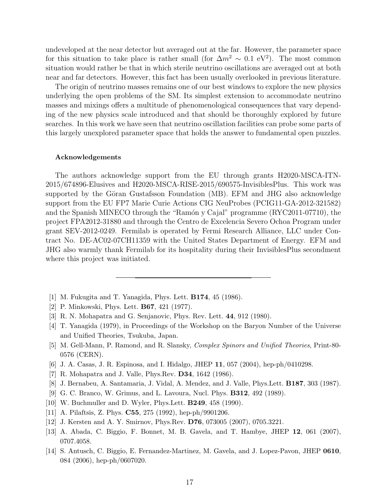undeveloped at the near detector but averaged out at the far. However, the parameter space for this situation to take place is rather small (for  $\Delta m^2 \sim 0.1 \text{ eV}^2$ ). The most common situation would rather be that in which sterile neutrino oscillations are averaged out at both near and far detectors. However, this fact has been usually overlooked in previous literature.

The origin of neutrino masses remains one of our best windows to explore the new physics underlying the open problems of the SM. Its simplest extension to accommodate neutrino masses and mixings offers a multitude of phenomenological consequences that vary depending of the new physics scale introduced and that should be thoroughly explored by future searches. In this work we have seen that neutrino oscillation facilities can probe some parts of this largely unexplored parameter space that holds the answer to fundamental open puzzles.

#### Acknowledgements

The authors acknowledge support from the EU through grants H2020-MSCA-ITN-2015/674896-Elusives and H2020-MSCA-RISE-2015/690575-InvisiblesPlus. This work was supported by the Göran Gustafsson Foundation (MB). EFM and JHG also acknowledge support from the EU FP7 Marie Curie Actions CIG NeuProbes (PCIG11-GA-2012-321582) and the Spanish MINECO through the "Ramón y Cajal" programme (RYC2011-07710), the project FPA2012-31880 and through the Centro de Excelencia Severo Ochoa Program under grant SEV-2012-0249. Fermilab is operated by Fermi Research Alliance, LLC under Contract No. DE-AC02-07CH11359 with the United States Department of Energy. EFM and JHG also warmly thank Fermilab for its hospitality during their InvisiblesPlus secondment where this project was initiated.

- [1] M. Fukugita and T. Yanagida, Phys. Lett. B174, 45 (1986).
- [2] P. Minkowski, Phys. Lett. B67, 421 (1977).
- [3] R. N. Mohapatra and G. Senjanovic, Phys. Rev. Lett. 44, 912 (1980).
- [4] T. Yanagida (1979), in Proceedings of the Workshop on the Baryon Number of the Universe and Unified Theories, Tsukuba, Japan.
- [5] M. Gell-Mann, P. Ramond, and R. Slansky, Complex Spinors and Unified Theories, Print-80- 0576 (CERN).
- [6] J. A. Casas, J. R. Espinosa, and I. Hidalgo, JHEP 11, 057 (2004), hep-ph/0410298.
- [7] R. Mohapatra and J. Valle, Phys.Rev. D34, 1642 (1986).
- [8] J. Bernabeu, A. Santamaria, J. Vidal, A. Mendez, and J. Valle, Phys.Lett. B187, 303 (1987).
- [9] G. C. Branco, W. Grimus, and L. Lavoura, Nucl. Phys. B312, 492 (1989).
- [10] W. Buchmuller and D. Wyler, Phys.Lett. B249, 458 (1990).
- [11] A. Pilaftsis, Z. Phys. **C55**, 275 (1992), hep-ph/9901206.
- [12] J. Kersten and A. Y. Smirnov, Phys.Rev. D76, 073005 (2007), 0705.3221.
- [13] A. Abada, C. Biggio, F. Bonnet, M. B. Gavela, and T. Hambye, JHEP 12, 061 (2007), 0707.4058.
- [14] S. Antusch, C. Biggio, E. Fernandez-Martinez, M. Gavela, and J. Lopez-Pavon, JHEP 0610, 084 (2006), hep-ph/0607020.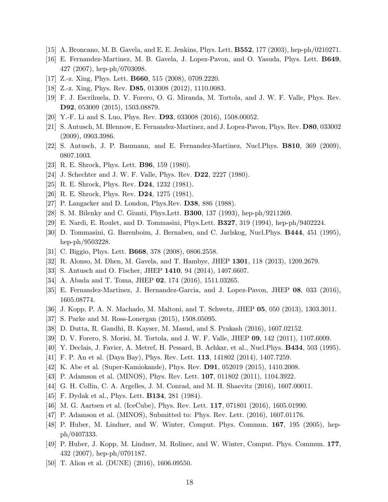- [15] A. Broncano, M. B. Gavela, and E. E. Jenkins, Phys. Lett. B552, 177 (2003), hep-ph/0210271.
- [16] E. Fernandez-Martinez, M. B. Gavela, J. Lopez-Pavon, and O. Yasuda, Phys. Lett. B649, 427 (2007), hep-ph/0703098.
- [17] Z.-z. Xing, Phys. Lett. B660, 515 (2008), 0709.2220.
- [18] Z.-z. Xing, Phys. Rev. D85, 013008 (2012), 1110.0083.
- [19] F. J. Escrihuela, D. V. Forero, O. G. Miranda, M. Tortola, and J. W. F. Valle, Phys. Rev. D92, 053009 (2015), 1503.08879.
- [20] Y.-F. Li and S. Luo, Phys. Rev. D93, 033008 (2016), 1508.00052.
- [21] S. Antusch, M. Blennow, E. Fernandez-Martinez, and J. Lopez-Pavon, Phys. Rev. D80, 033002 (2009), 0903.3986.
- [22] S. Antusch, J. P. Baumann, and E. Fernandez-Martinez, Nucl.Phys. B810, 369 (2009), 0807.1003.
- [23] R. E. Shrock, Phys. Lett. B96, 159 (1980).
- [24] J. Schechter and J. W. F. Valle, Phys. Rev. D22, 2227 (1980).
- [25] R. E. Shrock, Phys. Rev. **D24**, 1232 (1981).
- [26] R. E. Shrock, Phys. Rev. D24, 1275 (1981).
- [27] P. Langacker and D. London, Phys.Rev. D38, 886 (1988).
- [28] S. M. Bilenky and C. Giunti, Phys.Lett. B300, 137 (1993), hep-ph/9211269.
- [29] E. Nardi, E. Roulet, and D. Tommasini, Phys.Lett. B327, 319 (1994), hep-ph/9402224.
- [30] D. Tommasini, G. Barenboim, J. Bernabeu, and C. Jarlskog, Nucl.Phys. B444, 451 (1995), hep-ph/9503228.
- [31] C. Biggio, Phys. Lett. **B668**, 378 (2008), 0806.2558.
- [32] R. Alonso, M. Dhen, M. Gavela, and T. Hambye, JHEP 1301, 118 (2013), 1209.2679.
- [33] S. Antusch and O. Fischer, JHEP 1410, 94 (2014), 1407.6607.
- [34] A. Abada and T. Toma, JHEP 02, 174 (2016), 1511.03265.
- [35] E. Fernandez-Martinez, J. Hernandez-Garcia, and J. Lopez-Pavon, JHEP 08, 033 (2016), 1605.08774.
- [36] J. Kopp, P. A. N. Machado, M. Maltoni, and T. Schwetz, JHEP 05, 050 (2013), 1303.3011.
- [37] S. Parke and M. Ross-Lonergan (2015), 1508.05095.
- [38] D. Dutta, R. Gandhi, B. Kayser, M. Masud, and S. Prakash (2016), 1607.02152.
- [39] D. V. Forero, S. Morisi, M. Tortola, and J. W. F. Valle, JHEP 09, 142 (2011), 1107.6009.
- [40] Y. Declais, J. Favier, A. Metref, H. Pessard, B. Achkar, et al., Nucl.Phys. B434, 503 (1995).
- [41] F. P. An et al. (Daya Bay), Phys. Rev. Lett. 113, 141802 (2014), 1407.7259.
- [42] K. Abe et al. (Super-Kamiokande), Phys. Rev. D91, 052019 (2015), 1410.2008.
- [43] P. Adamson et al. (MINOS), Phys. Rev. Lett. 107, 011802 (2011), 1104.3922.
- [44] G. H. Collin, C. A. Argelles, J. M. Conrad, and M. H. Shaevitz (2016), 1607.00011.
- [45] F. Dydak et al., Phys. Lett. **B134**, 281 (1984).
- [46] M. G. Aartsen et al. (IceCube), Phys. Rev. Lett. **117**, 071801 (2016), 1605.01990.
- [47] P. Adamson et al. (MINOS), Submitted to: Phys. Rev. Lett. (2016), 1607.01176.
- [48] P. Huber, M. Lindner, and W. Winter, Comput. Phys. Commun. 167, 195 (2005), hepph/0407333.
- [49] P. Huber, J. Kopp, M. Lindner, M. Rolinec, and W. Winter, Comput. Phys. Commun. 177, 432 (2007), hep-ph/0701187.
- [50] T. Alion et al. (DUNE) (2016), 1606.09550.